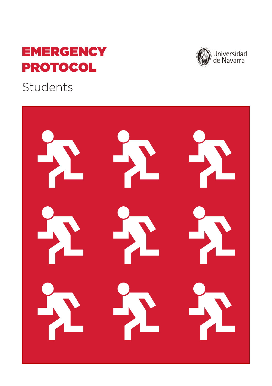# **EMERGENCY** PROTOCOL

Students

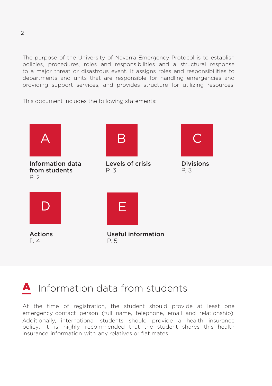The purpose of the University of Navarra Emergency Protocol is to establish policies, procedures, roles and responsibilities and a structural response to a major threat or disastrous event. It assigns roles and responsibilities to departments and units that are responsible for handling emergencies and providing support services, and provides structure for utilizing resources.

This document includes the following statements:



## **A** Information data from students

At the time of registration, the student should provide at least one emergency contact person (full name, telephone, email and relationship). Additionally, international students should provide a health insurance policy. It is highly recommended that the student shares this health insurance information with any relatives or flat mates.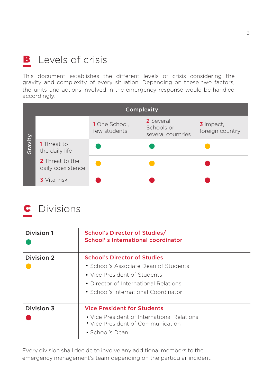### **B** Levels of crisis

This document establishes the different levels of crisis considering the gravity and complexity of every situation. Depending on these two factors, the units and actions involved in the emergency response would be handled accordingly.

|         | Complexity                           |                               |                                              |                              |
|---------|--------------------------------------|-------------------------------|----------------------------------------------|------------------------------|
| Gravity |                                      | 1 One School,<br>few students | 2 Several<br>Schools or<br>several countries | 3 Impact,<br>foreign country |
|         | 1 Threat to<br>the daily life        |                               |                                              |                              |
|         | 2 Threat to the<br>daily coexistence |                               |                                              |                              |
|         | <b>3</b> Vital risk                  |                               |                                              |                              |

### Divisions C

| Division 1 | School's Director of Studies/<br>School's International coordinator              |
|------------|----------------------------------------------------------------------------------|
| Division 2 | <b>School's Director of Studies</b>                                              |
|            | • School's Associate Dean of Students                                            |
|            | • Vice President of Students                                                     |
|            | • Director of International Relations                                            |
|            | • School's International Coordinator                                             |
| Division 3 | <b>Vice President for Students</b>                                               |
|            | • Vice President of International Relations<br>• Vice President of Communication |
|            | • School's Dean                                                                  |

Every division shall decide to involve any additional members to the emergency management's team depending on the particular incident.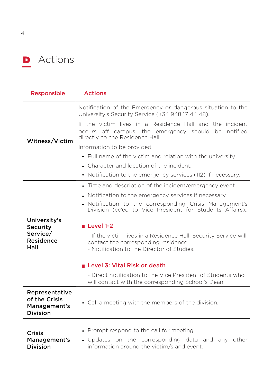

| <b>Responsible</b>                                                 | <b>Actions</b>                                                                                                                                         |  |  |
|--------------------------------------------------------------------|--------------------------------------------------------------------------------------------------------------------------------------------------------|--|--|
|                                                                    | Notification of the Emergency or dangerous situation to the<br>University's Security Service (+34 948 17 44 48).                                       |  |  |
| Witness/Victim                                                     | If the victim lives in a Residence Hall and the incident<br>occurs off campus, the emergency should be<br>notified<br>directly to the Residence Hall.  |  |  |
|                                                                    | Information to be provided:                                                                                                                            |  |  |
|                                                                    | • Full name of the victim and relation with the university.                                                                                            |  |  |
|                                                                    | • Character and location of the incident.                                                                                                              |  |  |
|                                                                    | • Notification to the emergency services (112) if necessary.                                                                                           |  |  |
|                                                                    | • Time and description of the incident/emergency event.                                                                                                |  |  |
|                                                                    | • Notification to the emergency services if necessary.                                                                                                 |  |  |
|                                                                    | • Notification to the corresponding Crisis Management's<br>Division (cc'ed to Vice President for Students Affairs).:                                   |  |  |
| University's<br><b>Security</b>                                    | Level 1-2                                                                                                                                              |  |  |
| Service/<br><b>Residence</b><br>Hall                               | - If the victim lives in a Residence Hall, Security Service will<br>contact the corresponding residence.<br>- Notification to the Director of Studies. |  |  |
|                                                                    | ■ Level 3: Vital Risk or death                                                                                                                         |  |  |
|                                                                    | - Direct notification to the Vice President of Students who<br>will contact with the corresponding School's Dean.                                      |  |  |
| Representative<br>of the Crisis<br>Management's<br><b>Division</b> | • Call a meeting with the members of the division.                                                                                                     |  |  |
| <b>Crisis</b><br>Management's<br><b>Division</b>                   | • Prompt respond to the call for meeting.<br>• Updates on the corresponding data and any other<br>information around the victim/s and event.           |  |  |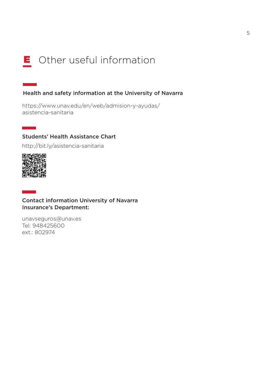## E Other useful information

#### Health and safety information at the University of Navarra

https://www.unav.edu/en/web/admision-y-ayudas/ asistencia-sanitaria

#### Students' Health Assistance Chart

http://bit.ly/asistencia-sanitaria



 $\sim 10^{11}$ 

**Contract** 

#### Contact information University of Navarra Insurance's Department:

unavseguros@unav.es Tel: 948425600 ext.: 802974